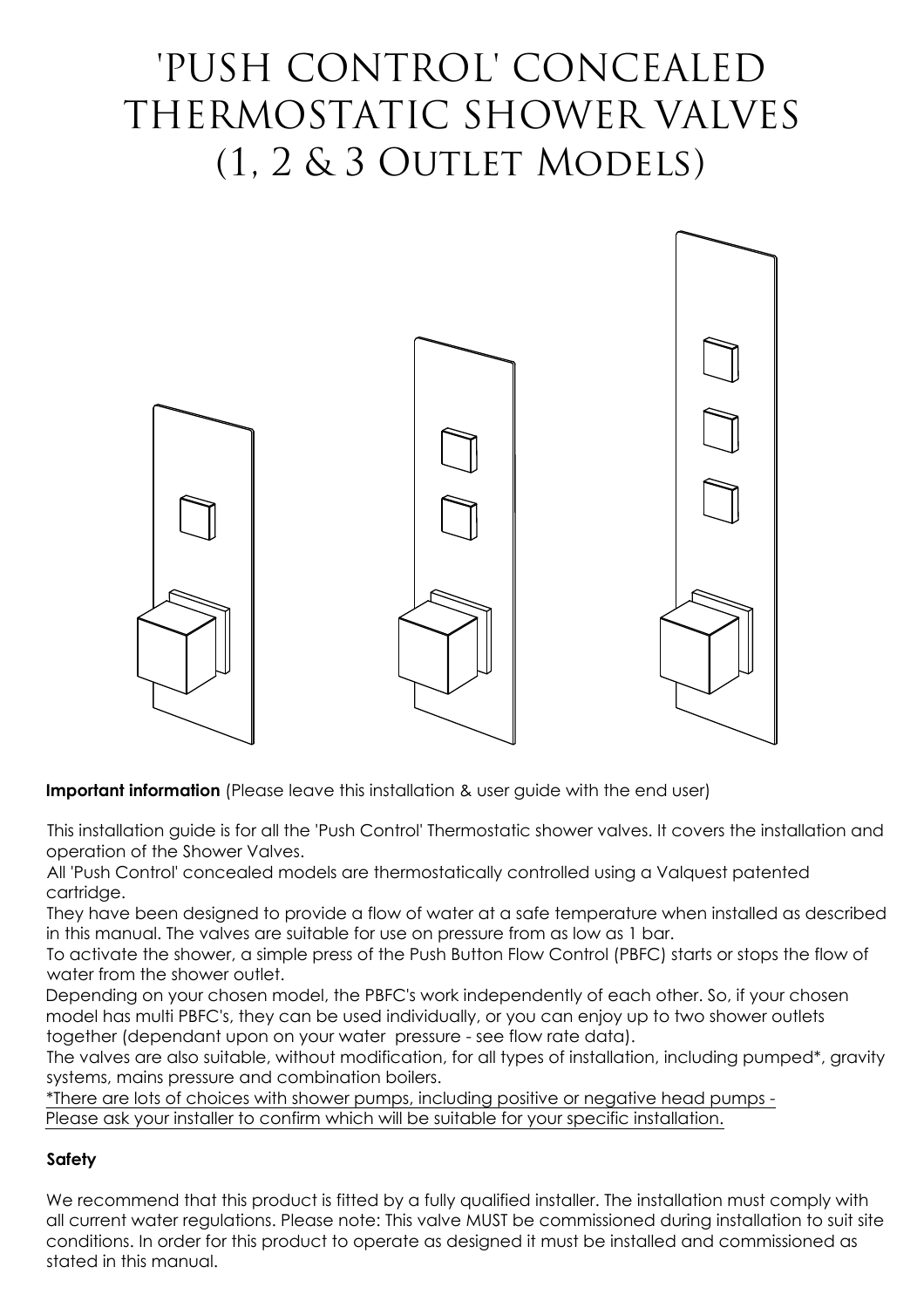# 'PUSH CONTROL' CONCEALED THERMOSTATIC SHOWER VALVES (1, 2 & 3 Outlet Models)



**Important information** (Please leave this installation & user quide with the end user)

This installation guide is for all the 'Push Control' Thermostatic shower valves. It covers the installation and operation of the Shower Valves.

All 'Push Control' concealed models are thermostatically controlled using a Valquest patented cartridge.

They have been designed to provide a flow of water at a safe temperature when installed as described in this manual. The valves are suitable for use on pressure from as low as 1 bar.

To activate the shower, a simple press of the Push Button Flow Control (PBFC) starts or stops the flow of water from the shower outlet.

Depending on your chosen model, the PBFC's work independently of each other. So, if your chosen model has multi PBFC's, they can be used individually, or you can enjoy up to two shower outlets together (dependant upon on your water pressure - see flow rate data).

The valves are also suitable, without modification, for all types of installation, including pumped\*, gravity systems, mains pressure and combination boilers.

\*There are lots of choices with shower pumps, including positive or negative head pumps - Please ask your installer to confirm which will be suitable for your specific installation.

## **Safety**

We recommend that this product is fitted by a fully qualified installer. The installation must comply with all current water regulations. Please note: This valve MUST be commissioned during installation to suit site conditions. In order for this product to operate as designed it must be installed and commissioned as stated in this manual.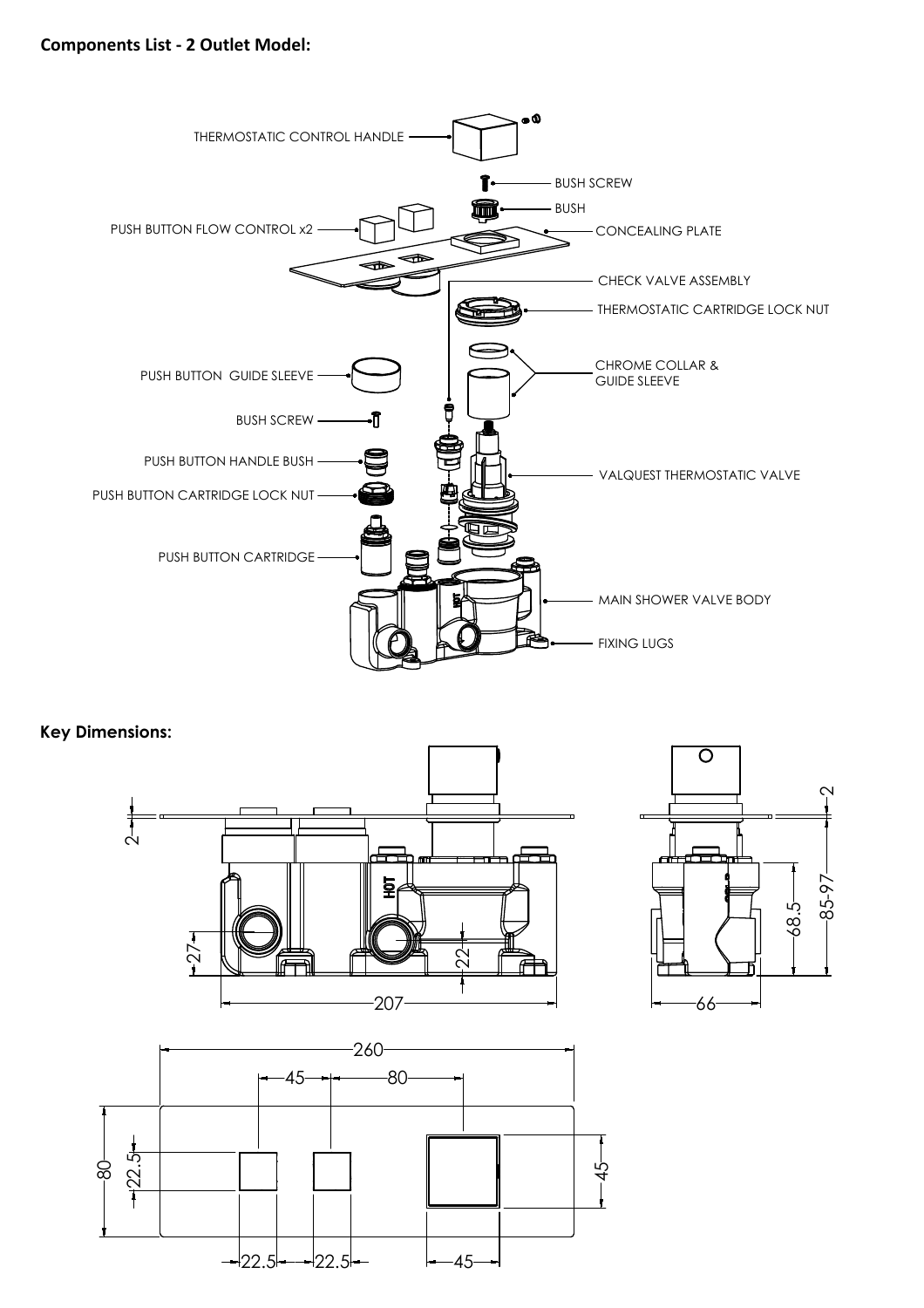

**Key Dimensions:**





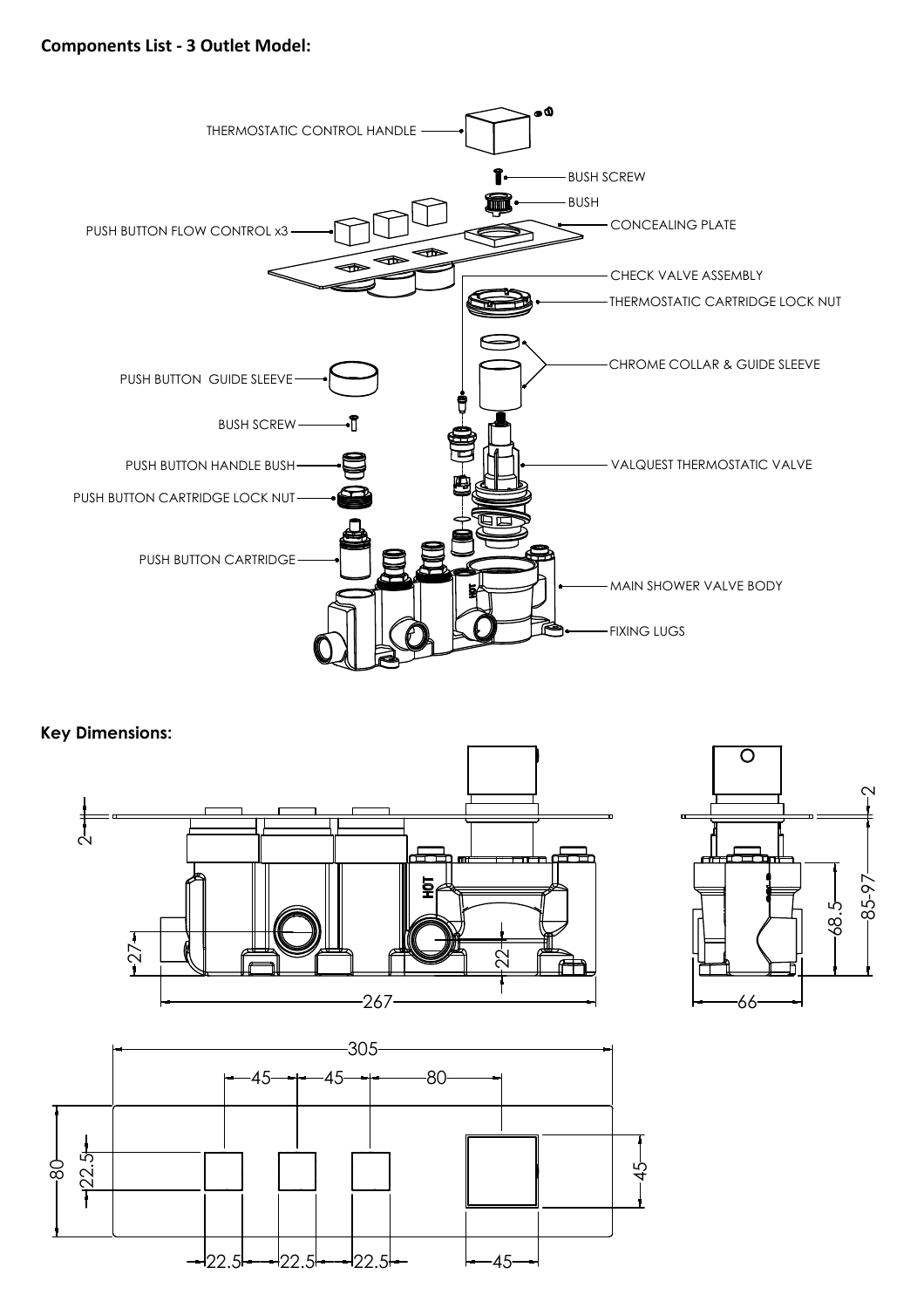

#### **Key Dimensions:**





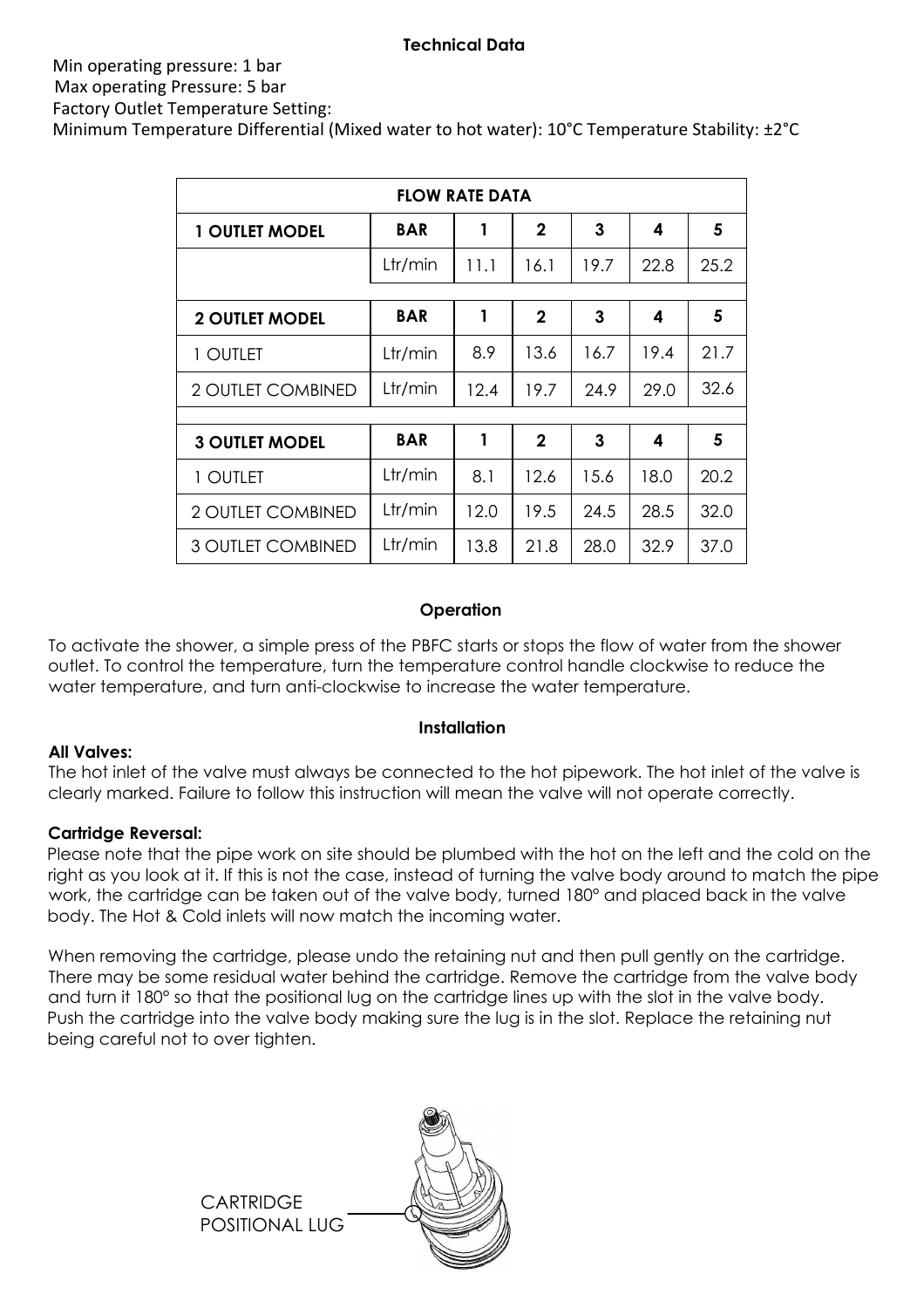#### **Technical Data**

#### Min operating pressure: 1 bar Max operating Pressure: 5 bar

Factory Outlet Temperature Setting:

Minimum Temperature Differential (Mixed water to hot water): 10°C Temperature Stability: ±2°C

| <b>FLOW RATE DATA</b>    |            |      |                |      |      |      |  |
|--------------------------|------------|------|----------------|------|------|------|--|
| <b>1 OUTLET MODEL</b>    | <b>BAR</b> | 1    | $\overline{2}$ | 3    | 4    | 5    |  |
|                          | Ltr/min    | 11.1 | 16.1           | 19.7 | 22.8 | 25.2 |  |
| <b>2 OUTLET MODEL</b>    | <b>BAR</b> | 1    | $\overline{2}$ | 3    | 4    | 5    |  |
|                          |            |      |                |      |      |      |  |
| 1 OUTLET                 | Ltr/min    | 8.9  | 13.6           | 16.7 | 19.4 | 21.7 |  |
| <b>2 OUTLET COMBINED</b> | Ltr/min    | 12.4 | 19.7           | 24.9 | 29.0 | 32.6 |  |
|                          |            |      |                |      |      |      |  |
| <b>3 OUTLET MODEL</b>    | <b>BAR</b> | 1    | $\mathbf 2$    | 3    | 4    | 5    |  |
| 1 Outlet                 | Ltr/min    | 8.1  | 12.6           | 15.6 | 18.0 | 20.2 |  |
| <b>2 OUTLET COMBINED</b> | Ltr/min    | 12.0 | 19.5           | 24.5 | 28.5 | 32.0 |  |
| <b>3 OUTLET COMBINED</b> | Ltr/min    | 13.8 | 21.8           | 28.0 | 32.9 | 37.0 |  |

#### **Operation**

To activate the shower, a simple press of the PBFC starts or stops the flow of water from the shower outlet. To control the temperature, turn the temperature control handle clockwise to reduce the water temperature, and turn anti-clockwise to increase the water temperature.

## **Installation**

#### **All Valves:**

The hot inlet of the valve must always be connected to the hot pipework. The hot inlet of the valve is clearly marked. Failure to follow this instruction will mean the valve will not operate correctly.

## **Cartridge Reversal:**

Please note that the pipe work on site should be plumbed with the hot on the left and the cold on the right as you look at it. If this is not the case, instead of turning the valve body around to match the pipe work, the cartridge can be taken out of the valve body, turned 180° and placed back in the valve body. The Hot & Cold inlets will now match the incoming water.

When removing the cartridge, please undo the retaining nut and then pull gently on the cartridge. There may be some residual water behind the cartridge. Remove the cartridge from the valve body and turn it 180° so that the positional lug on the cartridge lines up with the slot in the valve body. Push the cartridge into the valve body making sure the lug is in the slot. Replace the retaining nut being careful not to over tighten.

> **CARTRIDGE** POSITIONAL LUG

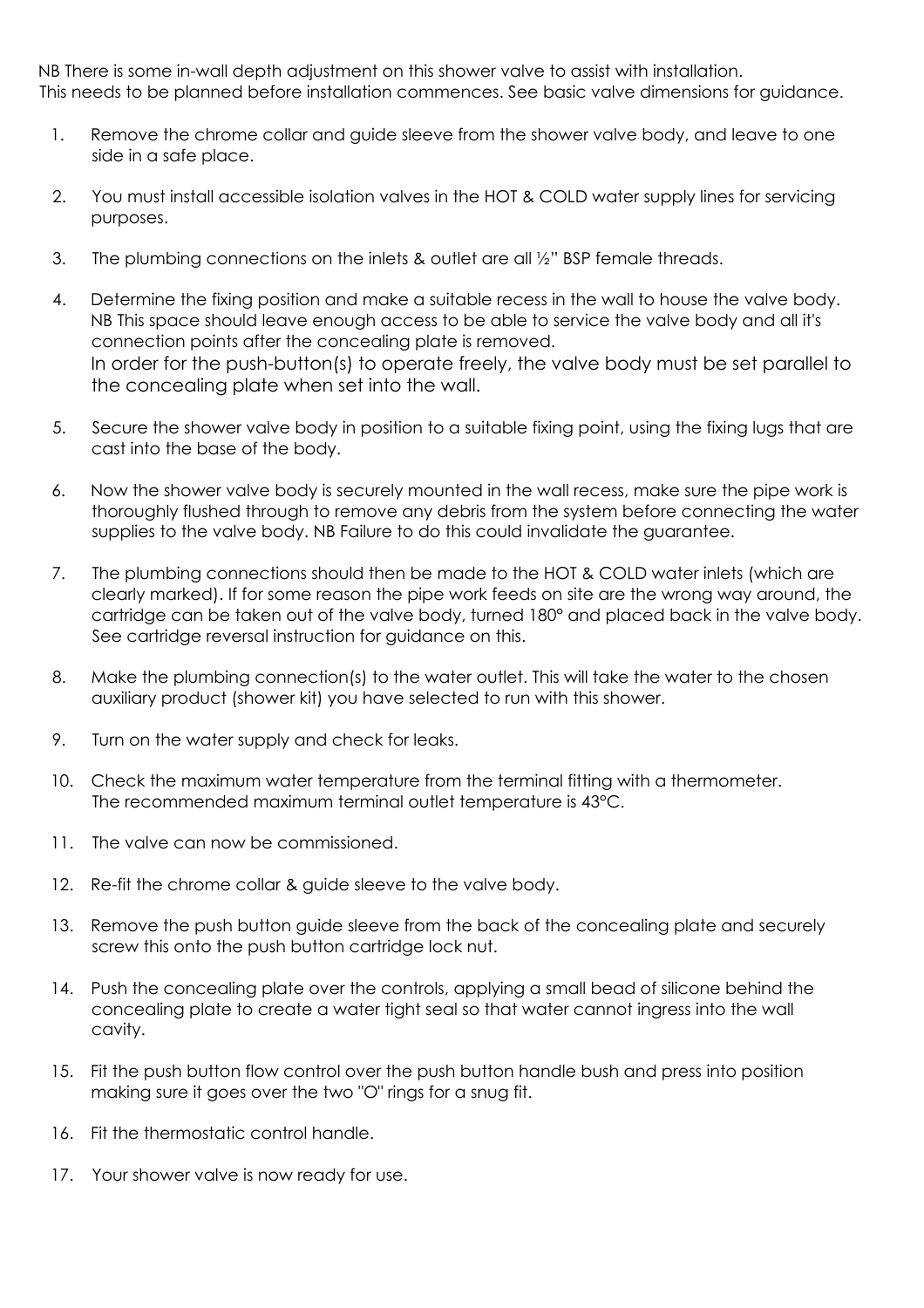NB There is some in-wall depth adjustment on this shower valve to assist with installation. This needs to be planned before installation commences. See basic valve dimensions for guidance.

- 1. Remove the chrome collar and guide sleeve from the shower valve body, and leave to one side in a safe place.
- 2. You must install accessible isolation valves in the HOT & COLD water supply lines for servicing purposes.
- 3. The plumbing connections on the inlets & outlet are all ½" BSP female threads.
- 4. Determine the fixing position and make a suitable recess in the wall to house the valve body. NB This space should leave enough access to be able to service the valve body and all it's connection points after the concealing plate is removed. In order for the push-button(s) to operate freely, the valve body must be set parallel to the concealing plate when set into the wall.
- 5. Secure the shower valve body in position to a suitable fixing point, using the fixing lugs that are cast into the base of the body.
- 6. Now the shower valve body is securely mounted in the wall recess, make sure the pipe work is thoroughly flushed through to remove any debris from the system before connecting the water supplies to the valve body. NB Failure to do this could invalidate the guarantee.
- 7. The plumbing connections should then be made to the HOT & COLD water inlets (which are clearly marked). If for some reason the pipe work feeds on site are the wrong way around, the cartridge can be taken out of the valve body, turned 180° and placed back in the valve body. See cartridge reversal instruction for guidance on this.
- 8. Make the plumbing connection(s) to the water outlet. This will take the water to the chosen auxiliary product (shower kit) you have selected to run with this shower.
- 9. Turn on the water supply and check for leaks.
- 10. Check the maximum water temperature from the terminal fitting with a thermometer. The recommended maximum terminal outlet temperature is 43°C.
- 11. The valve can now be commissioned.
- 12. Re-fit the chrome collar & guide sleeve to the valve body.
- 13. Remove the push button guide sleeve from the back of the concealing plate and securely screw this onto the push button cartridge lock nut.
- 14. Push the concealing plate over the controls, applying a small bead of silicone behind the concealing plate to create a water tight seal so that water cannot ingress into the wall cavity.
- 15. Fit the push button flow control over the push button handle bush and press into position making sure it goes over the two "O" rings for a snug fit.
- 16. Fit the thermostatic control handle.
- 17. Your shower valve is now ready for use.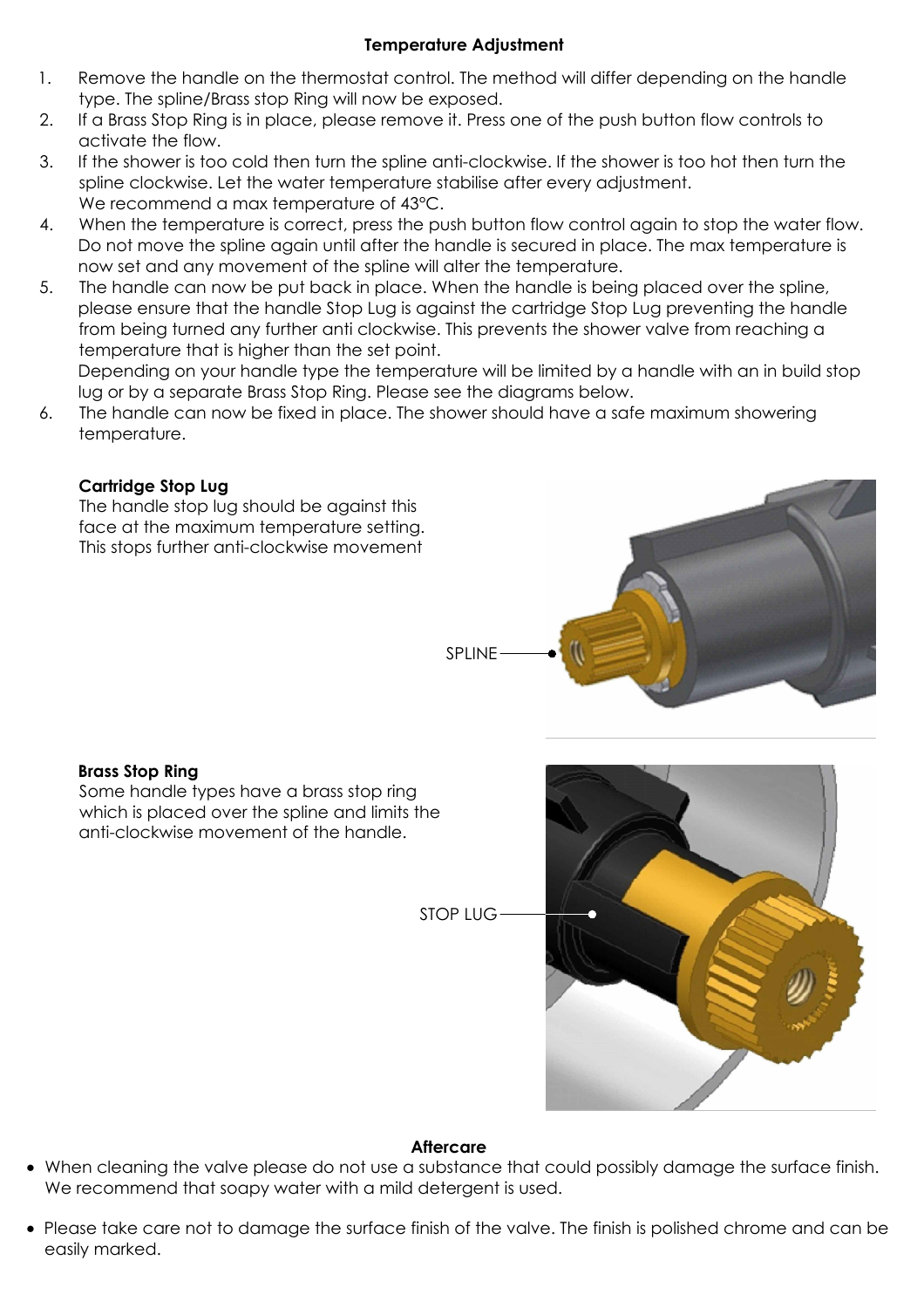## **Temperature Adjustment**

- 1. Remove the handle on the thermostat control. The method will differ depending on the handle type. The spline/Brass stop Ring will now be exposed.
- 2. If a Brass Stop Ring is in place, please remove it. Press one of the push button flow controls to activate the flow.
- 3. If the shower is too cold then turn the spline anti-clockwise. If the shower is too hot then turn the spline clockwise. Let the water temperature stabilise after every adjustment. We recommend a max temperature of 43°C.
- 4. When the temperature is correct, press the push button flow control again to stop the water flow. Do not move the spline again until after the handle is secured in place. The max temperature is now set and any movement of the spline will alter the temperature.
- 5. The handle can now be put back in place. When the handle is being placed over the spline, please ensure that the handle Stop Lug is against the cartridge Stop Lug preventing the handle from being turned any further anti clockwise. This prevents the shower valve from reaching a temperature that is higher than the set point.

Depending on your handle type the temperature will be limited by a handle with an in build stop lug or by a separate Brass Stop Ring. Please see the diagrams below.

6. The handle can now be fixed in place. The shower should have a safe maximum showering temperature.

## **Cartridge Stop Lug**

The handle stop lug should be against this face at the maximum temperature setting. This stops further anti-clockwise movement



## **Brass Stop Ring**

Some handle types have a brass stop ring which is placed over the spline and limits the anti-clockwise movement of the handle.

STOP LUG



## **Aftercare**

- · When cleaning the valve please do not use a substance that could possibly damage the surface finish. We recommend that soapy water with a mild detergent is used.
- · Please take care not to damage the surface finish of the valve. The finish is polished chrome and can be easily marked.